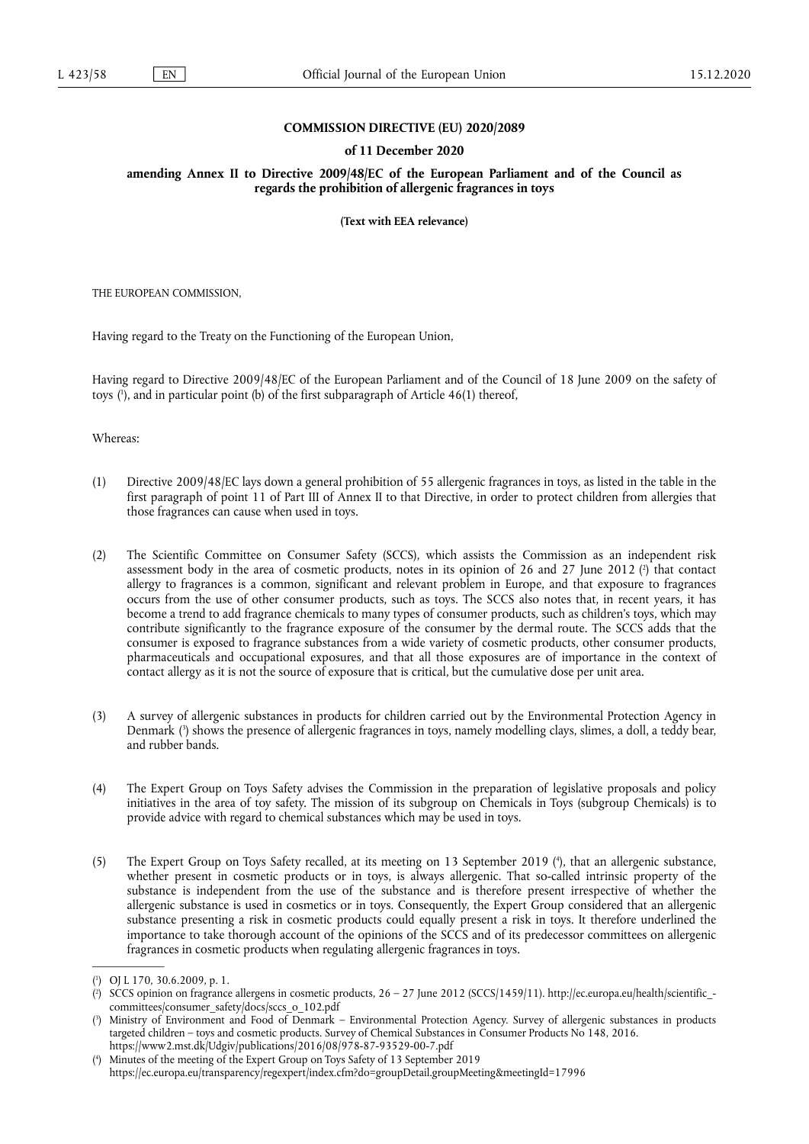### **COMMISSION DIRECTIVE (EU) 2020/2089**

#### **of 11 December 2020**

**amending Annex II to Directive 2009/48/EC of the European Parliament and of the Council as regards the prohibition of allergenic fragrances in toys** 

**(Text with EEA relevance)** 

THE EUROPEAN COMMISSION,

Having regard to the Treaty on the Functioning of the European Union,

<span id="page-0-4"></span>Having regard to Directive 2009/48/EC of the European Parliament and of the Council of 18 June 2009 on the safety of toys ( 1 [\),](#page-0-0) and in particular point (b) of the first subparagraph of Article 46(1) thereof,

Whereas:

- (1) Directive 2009/48/EC lays down a general prohibition of 55 allergenic fragrances in toys, as listed in the table in the first paragraph of point 11 of Part III of Annex II to that Directive, in order to protect children from allergies that those fragrances can cause when used in toys.
- <span id="page-0-5"></span>(2) The Scientific Committee on Consumer Safety (SCCS), which assists the Commission as an independent risk assessment body in the area of cosmetic products, notes in its opinion of 26 and 27 June 2012 (?[\)](#page-0-1) that contact allergy to fragrances is a common, significant and relevant problem in Europe, and that exposure to fragrances occurs from the use of other consumer products, such as toys. The SCCS also notes that, in recent years, it has become a trend to add fragrance chemicals to many types of consumer products, such as children's toys, which may contribute significantly to the fragrance exposure of the consumer by the dermal route. The SCCS adds that the consumer is exposed to fragrance substances from a wide variety of cosmetic products, other consumer products, pharmaceuticals and occupational exposures, and that all those exposures are of importance in the context of contact allergy as it is not the source of exposure that is critical, but the cumulative dose per unit area.
- <span id="page-0-6"></span>(3) A survey of allergenic substances in products for children carried out by the Environmental Protection Agency in Denmark [\(](#page-0-2) 3 ) shows the presence of allergenic fragrances in toys, namely modelling clays, slimes, a doll, a teddy bear, and rubber bands.
- (4) The Expert Group on Toys Safety advises the Commission in the preparation of legislative proposals and policy initiatives in the area of toy safety. The mission of its subgroup on Chemicals in Toys (subgroup Chemicals) is to provide advice with regard to chemical substances which may be used in toys.
- <span id="page-0-7"></span>(5) The Expert Group on Toys Safety recalled, at its meeting on 13 September 2019 [\(](#page-0-3) 4 ), that an allergenic substance, whether present in cosmetic products or in toys, is always allergenic. That so-called intrinsic property of the substance is independent from the use of the substance and is therefore present irrespective of whether the allergenic substance is used in cosmetics or in toys. Consequently, the Expert Group considered that an allergenic substance presenting a risk in cosmetic products could equally present a risk in toys. It therefore underlined the importance to take thorough account of the opinions of the SCCS and of its predecessor committees on allergenic fragrances in cosmetic products when regulating allergenic fragrances in toys.

<span id="page-0-0"></span>[<sup>\(</sup>](#page-0-4) 1 ) OJ L 170, 30.6.2009, p. 1.

<span id="page-0-1"></span>[<sup>\(</sup>](#page-0-5) 2 ) SCCS opinion on fragrance allergens in cosmetic products, 26 – 27 June 2012 (SCCS/1459/11). [http://ec.europa.eu/health/scientific\\_](http://ec.europa.eu/health/scientific_committees/consumer_safety/docs/sccs_o_102.pdf) [committees/consumer\\_safety/docs/sccs\\_o\\_102.pdf](http://ec.europa.eu/health/scientific_committees/consumer_safety/docs/sccs_o_102.pdf)

<span id="page-0-2"></span>[<sup>\(</sup>](#page-0-6) 3 ) Ministry of Environment and Food of Denmark – Environmental Protection Agency. Survey of allergenic substances in products targeted children – toys and cosmetic products. Survey of Chemical Substances in Consumer Products No 148, 2016. <https://www2.mst.dk/Udgiv/publications/2016/08/978-87-93529-00-7.pdf>

<span id="page-0-3"></span>[<sup>\(</sup>](#page-0-7) 4 ) Minutes of the meeting of the Expert Group on Toys Safety of 13 September 2019 <https://ec.europa.eu/transparency/regexpert/index.cfm?do=groupDetail.groupMeeting&meetingId=17996>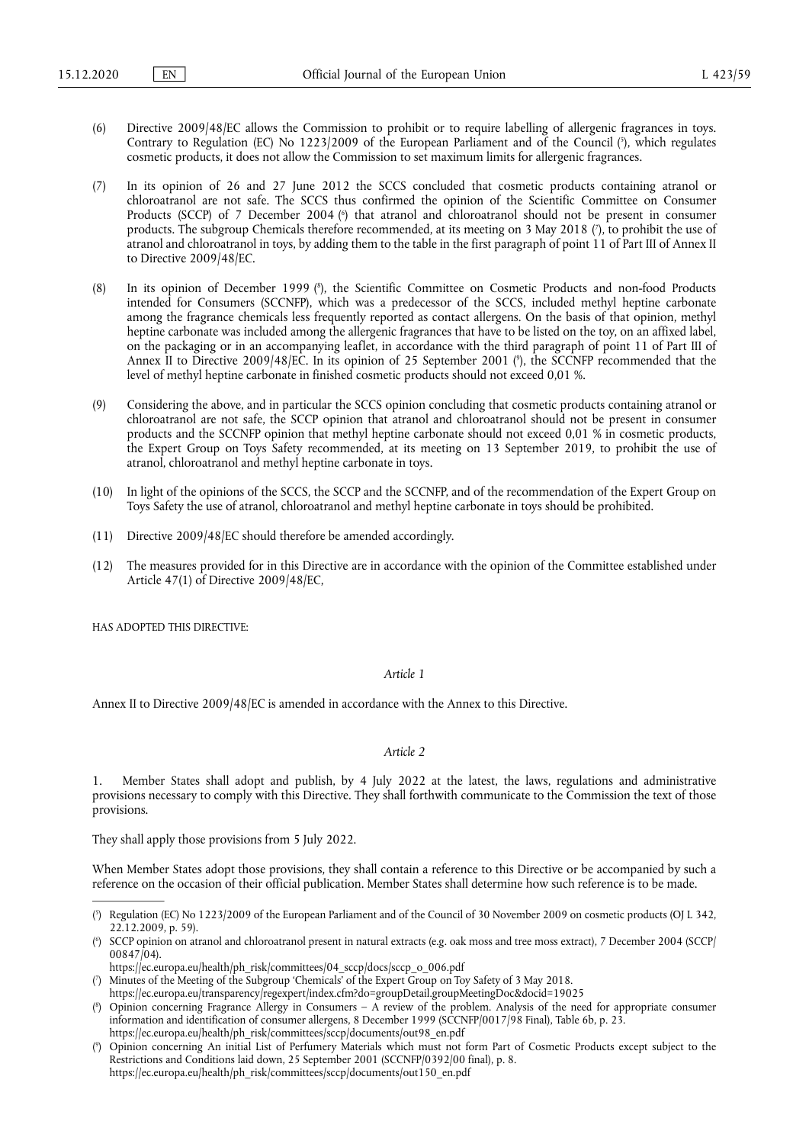- <span id="page-1-5"></span>(6) Directive 2009/48/EC allows the Commission to prohibit or to require labelling of allergenic fragrances in toys. Contrary to Regulation (EC) No 1223/2009 of the European Parliament and of the Council (5[\),](#page-1-0) which regulates cosmetic products, it does not allow the Commission to set maximum limits for allergenic fragrances.
- <span id="page-1-7"></span><span id="page-1-6"></span>(7) In its opinion of 26 and 27 June 2012 the SCCS concluded that cosmetic products containing atranol or chloroatranol are not safe. The SCCS thus confirmed the opinion of the Scientific Committee on Consumer Products [\(](#page-1-1)SCCP) of 7 December 2004 (<sup>6</sup>) that atranol and chloroatranol should not be present in consumer products. The subgroup Chemicals therefore recommended, at its meeting on 3 May 2018 [\(](#page-1-2) 7 ), to prohibit the use of atranol and chloroatranol in toys, by adding them to the table in the first paragraph of point 11 of Part III of Annex II to Directive 2009/48/EC.
- <span id="page-1-8"></span>(8) In its opinion of December 1999 ( 8 [\),](#page-1-3) the Scientific Committee on Cosmetic Products and non-food Products intended for Consumers (SCCNFP), which was a predecessor of the SCCS, included methyl heptine carbonate among the fragrance chemicals less frequently reported as contact allergens. On the basis of that opinion, methyl heptine carbonate was included among the allergenic fragrances that have to be listed on the toy, on an affixed label, on the packaging or in an accompanying leaflet, in accordance with the third paragraph of point 11 of Part III of Annex II to Directive 2009/48/EC. In its opinion of 25 September 2001 [\(](#page-1-4) 9 ), the SCCNFP recommended that the level of methyl heptine carbonate in finished cosmetic products should not exceed 0,01 %.
- <span id="page-1-9"></span>(9) Considering the above, and in particular the SCCS opinion concluding that cosmetic products containing atranol or chloroatranol are not safe, the SCCP opinion that atranol and chloroatranol should not be present in consumer products and the SCCNFP opinion that methyl heptine carbonate should not exceed 0,01 % in cosmetic products, the Expert Group on Toys Safety recommended, at its meeting on 13 September 2019, to prohibit the use of atranol, chloroatranol and methyl heptine carbonate in toys.
- (10) In light of the opinions of the SCCS, the SCCP and the SCCNFP, and of the recommendation of the Expert Group on Toys Safety the use of atranol, chloroatranol and methyl heptine carbonate in toys should be prohibited.
- (11) Directive 2009/48/EC should therefore be amended accordingly.
- (12) The measures provided for in this Directive are in accordance with the opinion of the Committee established under Article 47(1) of Directive 2009/48/EC,

HAS ADOPTED THIS DIRECTIVE:

#### *Article 1*

Annex II to Directive 2009/48/EC is amended in accordance with the Annex to this Directive.

## *Article 2*

1. Member States shall adopt and publish, by 4 July 2022 at the latest, the laws, regulations and administrative provisions necessary to comply with this Directive. They shall forthwith communicate to the Commission the text of those provisions.

They shall apply those provisions from 5 July 2022.

When Member States adopt those provisions, they shall contain a reference to this Directive or be accompanied by such a reference on the occasion of their official publication. Member States shall determine how such reference is to be made.

<span id="page-1-2"></span>[\(](#page-1-7) 7 ) Minutes of the Meeting of the Subgroup 'Chemicals' of the Expert Group on Toy Safety of 3 May 2018.

<span id="page-1-0"></span>[<sup>\(</sup>](#page-1-5) 5 ) Regulation (EC) No 1223/2009 of the European Parliament and of the Council of 30 November 2009 on cosmetic products (OJ L 342, 22.12.2009, p. 59).

<span id="page-1-1"></span>[<sup>\(</sup>](#page-1-6) 6 ) SCCP opinion on atranol and chloroatranol present in natural extracts (e.g. oak moss and tree moss extract), 7 December 2004 (SCCP/ 00847/04).

[https://ec.europa.eu/health/ph\\_risk/committees/04\\_sccp/docs/sccp\\_o\\_006.pdf](https://ec.europa.eu/health/ph_risk/committees/04_sccp/docs/sccp_o_006.pdf) 

<https://ec.europa.eu/transparency/regexpert/index.cfm?do=groupDetail.groupMeetingDoc&docid=19025>

<span id="page-1-3"></span>[<sup>\(</sup>](#page-1-8) 8 ) Opinion concerning Fragrance Allergy in Consumers – A review of the problem. Analysis of the need for appropriate consumer information and identification of consumer allergens, 8 December 1999 (SCCNFP/0017/98 Final), Table 6b, p. 23. [https://ec.europa.eu/health/ph\\_risk/committees/sccp/documents/out98\\_en.pdf](https://ec.europa.eu/health/ph_risk/committees/sccp/documents/out98_en.pdf) 

<span id="page-1-4"></span>[<sup>\(</sup>](#page-1-9) 9 ) Opinion concerning An initial List of Perfumery Materials which must not form Part of Cosmetic Products except subject to the Restrictions and Conditions laid down, 25 September 2001 (SCCNFP/0392/00 final), p. 8. [https://ec.europa.eu/health/ph\\_risk/committees/sccp/documents/out150\\_en.pdf](https://ec.europa.eu/health/ph_risk/committees/sccp/documents/out150_en.pdf)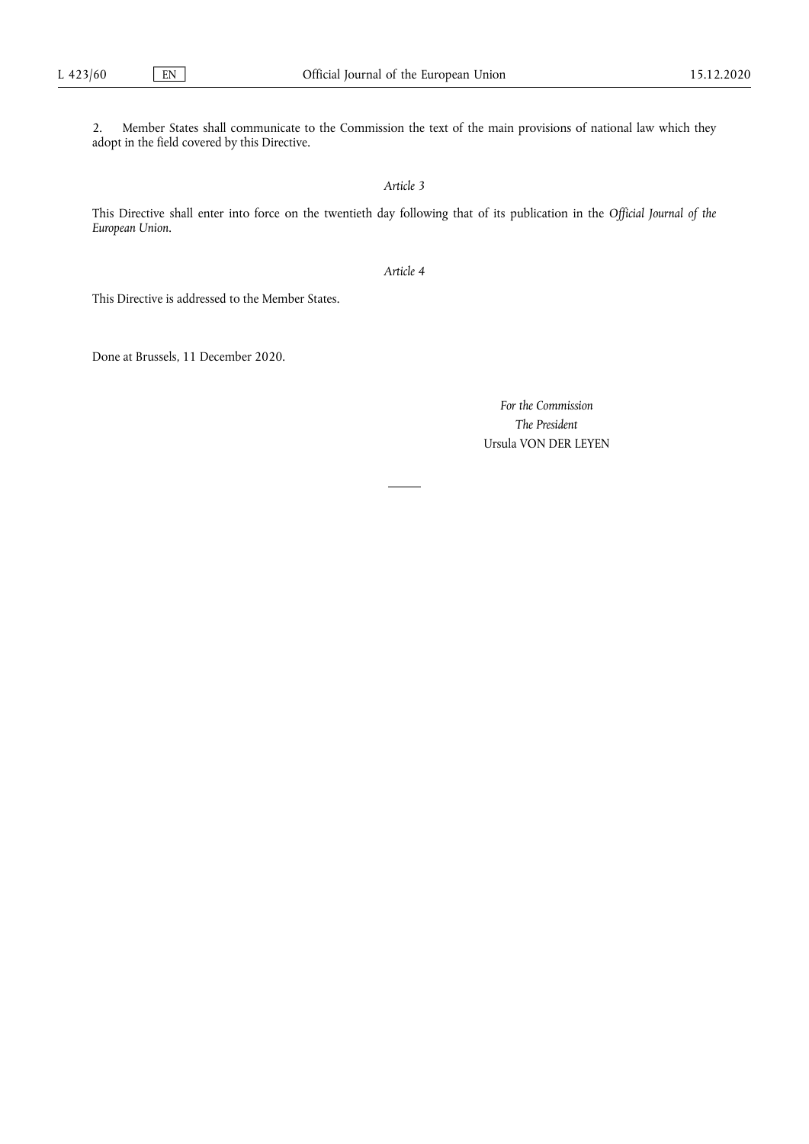2. Member States shall communicate to the Commission the text of the main provisions of national law which they adopt in the field covered by this Directive.

*Article 3* 

This Directive shall enter into force on the twentieth day following that of its publication in the *Official Journal of the European Union*.

*Article 4* 

This Directive is addressed to the Member States.

Done at Brussels, 11 December 2020.

*For the Commission The President*  Ursula VON DER LEYEN